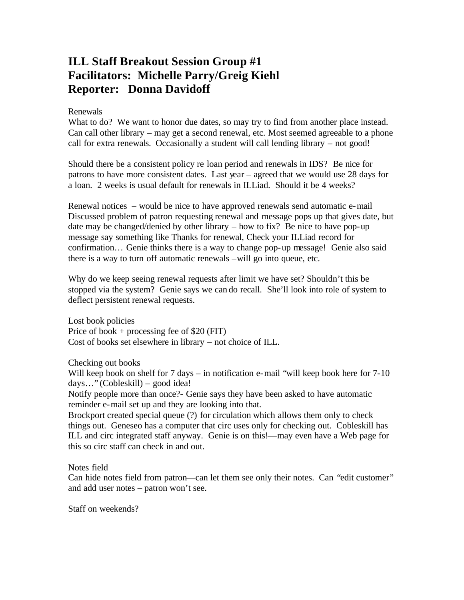## **ILL Staff Breakout Session Group #1 Facilitators: Michelle Parry/Greig Kiehl Reporter: Donna Davidoff**

#### Renewals

What to do? We want to honor due dates, so may try to find from another place instead. Can call other library – may get a second renewal, etc. Most seemed agreeable to a phone call for extra renewals. Occasionally a student will call lending library – not good!

Should there be a consistent policy re loan period and renewals in IDS? Be nice for patrons to have more consistent dates. Last year – agreed that we would use 28 days for a loan. 2 weeks is usual default for renewals in ILLiad. Should it be 4 weeks?

Renewal notices – would be nice to have approved renewals send automatic e-mail Discussed problem of patron requesting renewal and message pops up that gives date, but date may be changed/denied by other library – how to fix? Be nice to have pop-up message say something like Thanks for renewal, Check your ILLiad record for confirmation… Genie thinks there is a way to change pop-up message! Genie also said there is a way to turn off automatic renewals –will go into queue, etc.

Why do we keep seeing renewal requests after limit we have set? Shouldn't this be stopped via the system? Genie says we can do recall. She'll look into role of system to deflect persistent renewal requests.

Lost book policies Price of book + processing fee of \$20 (FIT) Cost of books set elsewhere in library – not choice of ILL.

Checking out books

Will keep book on shelf for 7 days – in notification e-mail "will keep book here for 7-10" days…" (Cobleskill) – good idea!

Notify people more than once?- Genie says they have been asked to have automatic reminder e-mail set up and they are looking into that.

Brockport created special queue (?) for circulation which allows them only to check things out. Geneseo has a computer that circ uses only for checking out. Cobleskill has ILL and circ integrated staff anyway. Genie is on this!—may even have a Web page for this so circ staff can check in and out.

Notes field

Can hide notes field from patron—can let them see only their notes. Can "edit customer" and add user notes – patron won't see.

Staff on weekends?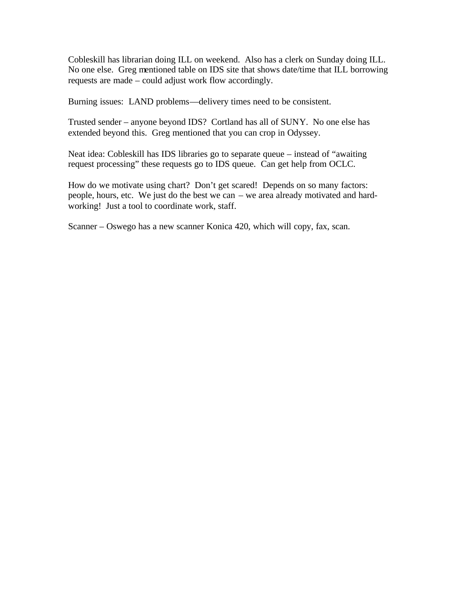Cobleskill has librarian doing ILL on weekend. Also has a clerk on Sunday doing ILL. No one else. Greg mentioned table on IDS site that shows date/time that ILL borrowing requests are made – could adjust work flow accordingly.

Burning issues: LAND problems—delivery times need to be consistent.

Trusted sender – anyone beyond IDS? Cortland has all of SUNY. No one else has extended beyond this. Greg mentioned that you can crop in Odyssey.

Neat idea: Cobleskill has IDS libraries go to separate queue – instead of "awaiting request processing" these requests go to IDS queue. Can get help from OCLC.

How do we motivate using chart? Don't get scared! Depends on so many factors: people, hours, etc. We just do the best we can – we area already motivated and hardworking! Just a tool to coordinate work, staff.

Scanner – Oswego has a new scanner Konica 420, which will copy, fax, scan.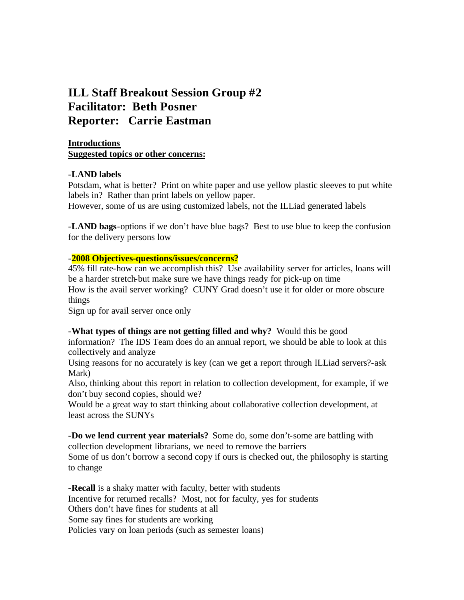## **ILL Staff Breakout Session Group #2 Facilitator: Beth Posner Reporter: Carrie Eastman**

#### **Introductions Suggested topics or other concerns:**

## -**LAND labels**

Potsdam, what is better? Print on white paper and use yellow plastic sleeves to put white labels in? Rather than print labels on yellow paper.

However, some of us are using customized labels, not the ILLiad generated labels

-**LAND bags**-options if we don't have blue bags? Best to use blue to keep the confusion for the delivery persons low

#### -**2008 Objectives-questions/issues/concerns?**

45% fill rate-how can we accomplish this? Use availability server for articles, loans will be a harder stretch-but make sure we have things ready for pick-up on time How is the avail server working? CUNY Grad doesn't use it for older or more obscure things

Sign up for avail server once only

## -**What types of things are not getting filled and why?** Would this be good

information? The IDS Team does do an annual report, we should be able to look at this collectively and analyze

Using reasons for no accurately is key (can we get a report through ILLiad servers?-ask Mark)

Also, thinking about this report in relation to collection development, for example, if we don't buy second copies, should we?

Would be a great way to start thinking about collaborative collection development, at least across the SUNYs

-**Do we lend current year materials?** Some do, some don't-some are battling with collection development librarians, we need to remove the barriers Some of us don't borrow a second copy if ours is checked out, the philosophy is starting to change

-**Recall** is a shaky matter with faculty, better with students Incentive for returned recalls? Most, not for faculty, yes for students Others don't have fines for students at all Some say fines for students are working Policies vary on loan periods (such as semester loans)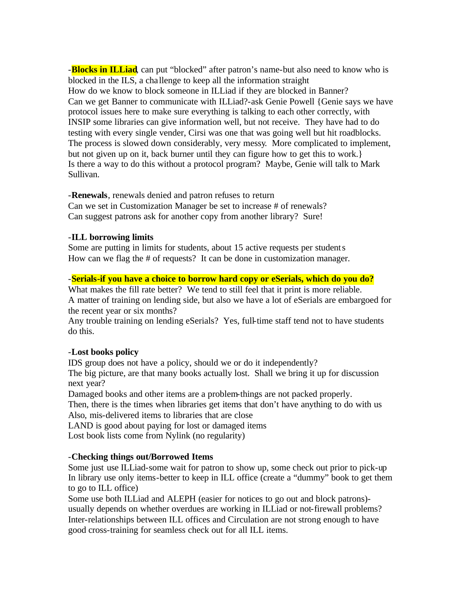-**Blocks in ILLiad**, can put "blocked" after patron's name-but also need to know who is blocked in the ILS, a cha llenge to keep all the information straight How do we know to block someone in ILLiad if they are blocked in Banner? Can we get Banner to communicate with ILLiad?-ask Genie Powell {Genie says we have protocol issues here to make sure everything is talking to each other correctly, with INSIP some libraries can give information well, but not receive. They have had to do testing with every single vender, Cirsi was one that was going well but hit roadblocks. The process is slowed down considerably, very messy. More complicated to implement, but not given up on it, back burner until they can figure how to get this to work.} Is there a way to do this without a protocol program? Maybe, Genie will talk to Mark Sullivan.

## -**Renewals**, renewals denied and patron refuses to return Can we set in Customization Manager be set to increase # of renewals?

Can suggest patrons ask for another copy from another library? Sure!

## -**ILL borrowing limits**

Some are putting in limits for students, about 15 active requests per students How can we flag the # of requests? It can be done in customization manager.

## -**Serials-if you have a choice to borrow hard copy or eSerials, which do you do?**

What makes the fill rate better? We tend to still feel that it print is more reliable. A matter of training on lending side, but also we have a lot of eSerials are embargoed for the recent year or six months?

Any trouble training on lending eSerials? Yes, full-time staff tend not to have students do this.

## -**Lost books policy**

IDS group does not have a policy, should we or do it independently?

The big picture, are that many books actually lost. Shall we bring it up for discussion next year?

Damaged books and other items are a problem-things are not packed properly.

Then, there is the times when libraries get items that don't have anything to do with us Also, mis-delivered items to libraries that are close

LAND is good about paying for lost or damaged items

Lost book lists come from Nylink (no regularity)

## -**Checking things out/Borrowed Items**

Some just use ILLiad-some wait for patron to show up, some check out prior to pick-up In library use only items-better to keep in ILL office (create a "dummy" book to get them to go to ILL office)

Some use both ILLiad and ALEPH (easier for notices to go out and block patrons) usually depends on whether overdues are working in ILLiad or not-firewall problems? Inter-relationships between ILL offices and Circulation are not strong enough to have good cross-training for seamless check out for all ILL items.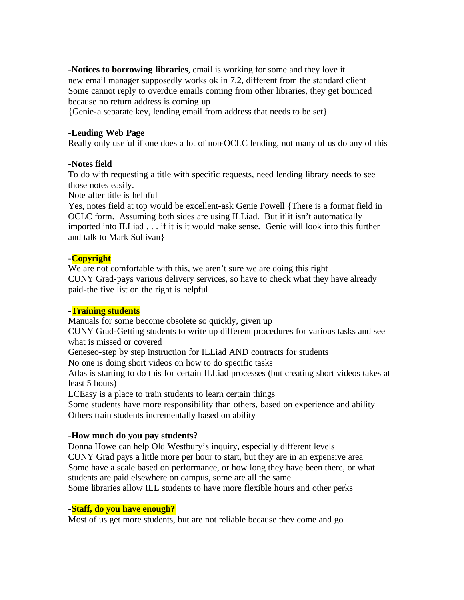-**Notices to borrowing libraries**, email is working for some and they love it new email manager supposedly works ok in 7.2, different from the standard client Some cannot reply to overdue emails coming from other libraries, they get bounced because no return address is coming up

{Genie-a separate key, lending email from address that needs to be set}

#### -**Lending Web Page**

Really only useful if one does a lot of non-OCLC lending, not many of us do any of this

#### -**Notes field**

To do with requesting a title with specific requests, need lending library needs to see those notes easily.

Note after title is helpful

Yes, notes field at top would be excellent-ask Genie Powell {There is a format field in OCLC form. Assuming both sides are using ILLiad. But if it isn't automatically imported into ILLiad . . . if it is it would make sense. Genie will look into this further and talk to Mark Sullivan}

#### -**Copyright**

We are not comfortable with this, we aren't sure we are doing this right CUNY Grad-pays various delivery services, so have to check what they have already paid-the five list on the right is helpful

#### -**Training students**

Manuals for some become obsolete so quickly, given up

CUNY Grad-Getting students to write up different procedures for various tasks and see what is missed or covered

Geneseo-step by step instruction for ILLiad AND contracts for students

No one is doing short videos on how to do specific tasks

Atlas is starting to do this for certain ILLiad processes (but creating short videos takes at least 5 hours)

LCEasy is a place to train students to learn certain things

Some students have more responsibility than others, based on experience and ability Others train students incrementally based on ability

#### -**How much do you pay students?**

Donna Howe can help Old Westbury's inquiry, especially different levels CUNY Grad pays a little more per hour to start, but they are in an expensive area Some have a scale based on performance, or how long they have been there, or what students are paid elsewhere on campus, some are all the same Some libraries allow ILL students to have more flexible hours and other perks

#### -**Staff, do you have enough?**

Most of us get more students, but are not reliable because they come and go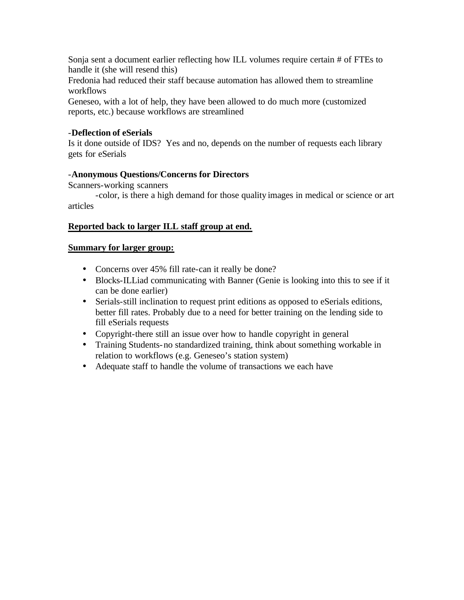Sonja sent a document earlier reflecting how ILL volumes require certain # of FTEs to handle it (she will resend this)

Fredonia had reduced their staff because automation has allowed them to streamline workflows

Geneseo, with a lot of help, they have been allowed to do much more (customized reports, etc.) because workflows are streamlined

## -**Deflection of eSerials**

Is it done outside of IDS? Yes and no, depends on the number of requests each library gets for eSerials

## -**Anonymous Questions/Concerns for Directors**

Scanners-working scanners

-color, is there a high demand for those quality images in medical or science or art articles

## **Reported back to larger ILL staff group at end.**

## **Summary for larger group:**

- Concerns over 45% fill rate-can it really be done?
- Blocks-ILLiad communicating with Banner (Genie is looking into this to see if it can be done earlier)
- Serials-still inclination to request print editions as opposed to eSerials editions, better fill rates. Probably due to a need for better training on the lending side to fill eSerials requests
- Copyright-there still an issue over how to handle copyright in general
- Training Students-no standardized training, think about something workable in relation to workflows (e.g. Geneseo's station system)
- Adequate staff to handle the volume of transactions we each have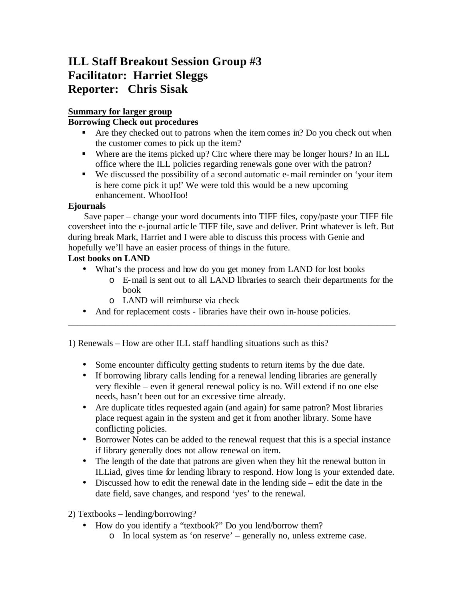# **ILL Staff Breakout Session Group #3 Facilitator: Harriet Sleggs Reporter: Chris Sisak**

## **Summary for larger group**

### **Borrowing Check out procedures**

- $\blacksquare$  Are they checked out to patrons when the item comes in? Do you check out when the customer comes to pick up the item?
- Where are the items picked up? Circ where there may be longer hours? In an ILL office where the ILL policies regarding renewals gone over with the patron?
- We discussed the possibility of a second automatic e-mail reminder on 'your item is here come pick it up!' We were told this would be a new upcoming enhancement. WhooHoo!

#### **Ejournals**

 Save paper – change your word documents into TIFF files, copy/paste your TIFF file coversheet into the e-journal artic le TIFF file, save and deliver. Print whatever is left. But during break Mark, Harriet and I were able to discuss this process with Genie and hopefully we'll have an easier process of things in the future.

## **Lost books on LAND**

- What's the process and how do you get money from LAND for lost books
	- o E-mail is sent out to all LAND libraries to search their departments for the book
	- o LAND will reimburse via check
- And for replacement costs libraries have their own in-house policies.

1) Renewals – How are other ILL staff handling situations such as this?

- Some encounter difficulty getting students to return items by the due date.
- If borrowing library calls lending for a renewal lending libraries are generally very flexible – even if general renewal policy is no. Will extend if no one else needs, hasn't been out for an excessive time already.

\_\_\_\_\_\_\_\_\_\_\_\_\_\_\_\_\_\_\_\_\_\_\_\_\_\_\_\_\_\_\_\_\_\_\_\_\_\_\_\_\_\_\_\_\_\_\_\_\_\_\_\_\_\_\_\_\_\_\_\_\_\_\_\_\_\_\_\_\_\_\_\_

- Are duplicate titles requested again (and again) for same patron? Most libraries place request again in the system and get it from another library. Some have conflicting policies.
- Borrower Notes can be added to the renewal request that this is a special instance if library generally does not allow renewal on item.
- The length of the date that patrons are given when they hit the renewal button in ILLiad, gives time for lending library to respond. How long is your extended date.
- Discussed how to edit the renewal date in the lending side edit the date in the date field, save changes, and respond 'yes' to the renewal.

2) Textbooks – lending/borrowing?

- How do you identify a "textbook?" Do you lend/borrow them?
	- o In local system as 'on reserve' generally no, unless extreme case.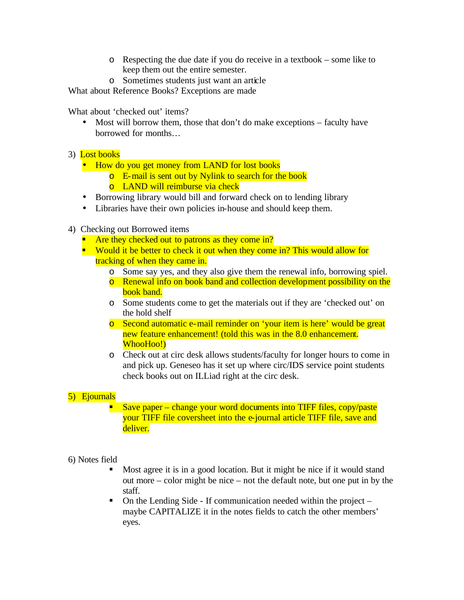- o Respecting the due date if you do receive in a textbook some like to keep them out the entire semester.
- o Sometimes students just want an article

What about Reference Books? Exceptions are made

What about 'checked out' items?

- Most will borrow them, those that don't do make exceptions faculty have borrowed for months…
- 3) Lost books
	- How do you get money from LAND for lost books
		- **E**-mail is sent out by Nylink to search for the book
		- o LAND will reimburse via check
	- Borrowing library would bill and forward check on to lending library
	- Libraries have their own policies in-house and should keep them.
- 4) Checking out Borrowed items
	- Are they checked out to patrons as they come in?
	- **Would it be better to check it out when they come in? This would allow for** tracking of when they came in.
		- o Some say yes, and they also give them the renewal info, borrowing spiel.
		- o Renewal info on book band and collection development possibility on the book band.
		- o Some students come to get the materials out if they are 'checked out' on the hold shelf
		- o Second automatic e-mail reminder on 'your item is here' would be great new feature enhancement! (told this was in the 8.0 enhancement. WhooHoo!)
		- o Check out at circ desk allows students/faculty for longer hours to come in and pick up. Geneseo has it set up where circ/IDS service point students check books out on ILLiad right at the circ desk.

## 5) Ejournals

ß Save paper – change your word documents into TIFF files, copy/paste your TIFF file coversheet into the e-journal article TIFF file, save and deliver.

6) Notes field

- ß Most agree it is in a good location. But it might be nice if it would stand out more – color might be nice – not the default note, but one put in by the staff.
- $\blacksquare$  On the Lending Side If communication needed within the project maybe CAPITALIZE it in the notes fields to catch the other members' eyes.